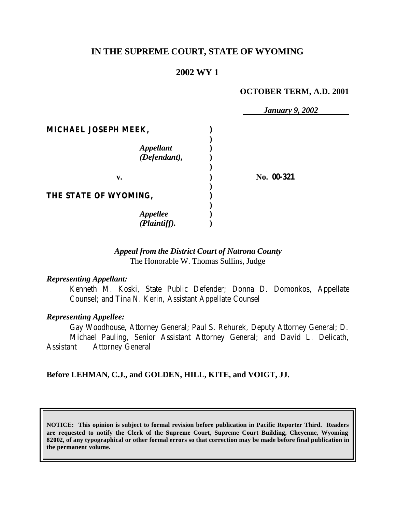# **IN THE SUPREME COURT, STATE OF WYOMING**

# **2002 WY 1**

#### **OCTOBER TERM, A.D. 2001**

|                                  | <b>January 9, 2002</b> |
|----------------------------------|------------------------|
| MICHAEL JOSEPH MEEK,             |                        |
| <b>Appellant</b><br>(Defendant), |                        |
| v.                               | No. 00-321             |
| THE STATE OF WYOMING,            |                        |
| <b>Appellee</b><br>(Plaintiff).  |                        |

## *Appeal from the District Court of Natrona County* The Honorable W. Thomas Sullins, Judge

#### *Representing Appellant:*

Kenneth M. Koski, State Public Defender; Donna D. Domonkos, Appellate Counsel; and Tina N. Kerin, Assistant Appellate Counsel

#### *Representing Appellee:*

Gay Woodhouse, Attorney General; Paul S. Rehurek, Deputy Attorney General; D. Michael Pauling, Senior Assistant Attorney General; and David L. Delicath, Assistant Attorney General

#### **Before LEHMAN, C.J., and GOLDEN, HILL, KITE, and VOIGT, JJ.**

**NOTICE: This opinion is subject to formal revision before publication in Pacific Reporter Third. Readers are requested to notify the Clerk of the Supreme Court, Supreme Court Building, Cheyenne, Wyoming 82002, of any typographical or other formal errors so that correction may be made before final publication in the permanent volume.**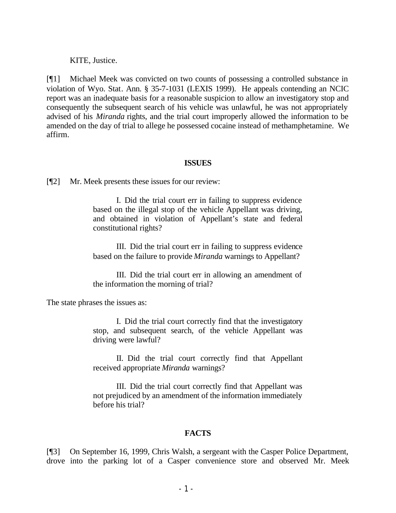KITE, Justice.

[¶1] Michael Meek was convicted on two counts of possessing a controlled substance in violation of Wyo. Stat. Ann. § 35-7-1031 (LEXIS 1999). He appeals contending an NCIC report was an inadequate basis for a reasonable suspicion to allow an investigatory stop and consequently the subsequent search of his vehicle was unlawful, he was not appropriately advised of his *Miranda* rights, and the trial court improperly allowed the information to be amended on the day of trial to allege he possessed cocaine instead of methamphetamine. We affirm.

#### **ISSUES**

[¶2] Mr. Meek presents these issues for our review:

I. Did the trial court err in failing to suppress evidence based on the illegal stop of the vehicle Appellant was driving, and obtained in violation of Appellant's state and federal constitutional rights?

III. Did the trial court err in failing to suppress evidence based on the failure to provide *Miranda* warnings to Appellant?

III. Did the trial court err in allowing an amendment of the information the morning of trial?

The state phrases the issues as:

I. Did the trial court correctly find that the investigatory stop, and subsequent search, of the vehicle Appellant was driving were lawful?

II. Did the trial court correctly find that Appellant received appropriate *Miranda* warnings?

III. Did the trial court correctly find that Appellant was not prejudiced by an amendment of the information immediately before his trial?

### **FACTS**

[¶3] On September 16, 1999, Chris Walsh, a sergeant with the Casper Police Department, drove into the parking lot of a Casper convenience store and observed Mr. Meek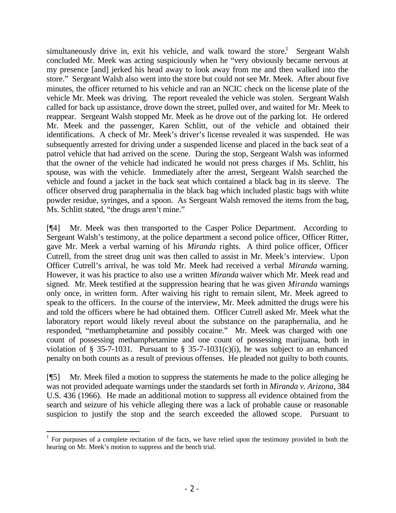simultaneously drive in, exit his vehicle, and walk toward the store.<sup>1</sup> Sergeant Walsh concluded Mr. Meek was acting suspiciously when he "very obviously became nervous at my presence [and] jerked his head away to look away from me and then walked into the store." Sergeant Walsh also went into the store but could not see Mr. Meek. After about five minutes, the officer returned to his vehicle and ran an NCIC check on the license plate of the vehicle Mr. Meek was driving. The report revealed the vehicle was stolen. Sergeant Walsh called for back up assistance, drove down the street, pulled over, and waited for Mr. Meek to reappear. Sergeant Walsh stopped Mr. Meek as he drove out of the parking lot. He ordered Mr. Meek and the passenger, Karen Schlitt, out of the vehicle and obtained their identifications. A check of Mr. Meek's driver's license revealed it was suspended. He was subsequently arrested for driving under a suspended license and placed in the back seat of a patrol vehicle that had arrived on the scene. During the stop, Sergeant Walsh was informed that the owner of the vehicle had indicated he would not press charges if Ms. Schlitt, his spouse, was with the vehicle. Immediately after the arrest, Sergeant Walsh searched the vehicle and found a jacket in the back seat which contained a black bag in its sleeve. The officer observed drug paraphernalia in the black bag which included plastic bags with white powder residue, syringes, and a spoon. As Sergeant Walsh removed the items from the bag, Ms. Schlitt stated, "the drugs aren't mine."

[¶4] Mr. Meek was then transported to the Casper Police Department. According to Sergeant Walsh's testimony, at the police department a second police officer, Officer Ritter, gave Mr. Meek a verbal warning of his *Miranda* rights. A third police officer, Officer Cutrell, from the street drug unit was then called to assist in Mr. Meek's interview. Upon Officer Cutrell's arrival, he was told Mr. Meek had received a verbal *Miranda* warning. However, it was his practice to also use a written *Miranda* waiver which Mr. Meek read and signed. Mr. Meek testified at the suppression hearing that he was given *Miranda* warnings only once, in written form. After waiving his right to remain silent, Mr. Meek agreed to speak to the officers. In the course of the interview, Mr. Meek admitted the drugs were his and told the officers where he had obtained them. Officer Cutrell asked Mr. Meek what the laboratory report would likely reveal about the substance on the paraphernalia, and he responded, "methamphetamine and possibly cocaine." Mr. Meek was charged with one count of possessing methamphetamine and one count of possessing marijuana, both in violation of § 35-7-1031. Pursuant to § 35-7-1031(c)(i), he was subject to an enhanced penalty on both counts as a result of previous offenses. He pleaded not guilty to both counts.

[¶5] Mr. Meek filed a motion to suppress the statements he made to the police alleging he was not provided adequate warnings under the standards set forth in *Miranda v. Arizona*, 384 U.S. 436 (1966). He made an additional motion to suppress all evidence obtained from the search and seizure of his vehicle alleging there was a lack of probable cause or reasonable suspicion to justify the stop and the search exceeded the allowed scope. Pursuant to

 $1$  For purposes of a complete recitation of the facts, we have relied upon the testimony provided in both the hearing on Mr. Meek's motion to suppress and the bench trial.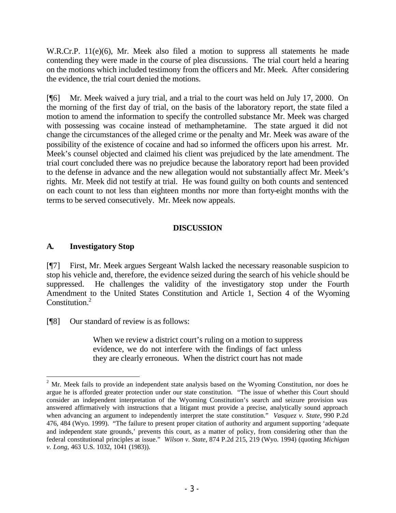W.R.Cr.P. 11(e)(6), Mr. Meek also filed a motion to suppress all statements he made contending they were made in the course of plea discussions. The trial court held a hearing on the motions which included testimony from the officers and Mr. Meek. After considering the evidence, the trial court denied the motions.

[¶6] Mr. Meek waived a jury trial, and a trial to the court was held on July 17, 2000. On the morning of the first day of trial, on the basis of the laboratory report, the state filed a motion to amend the information to specify the controlled substance Mr. Meek was charged with possessing was cocaine instead of methamphetamine. The state argued it did not change the circumstances of the alleged crime or the penalty and Mr. Meek was aware of the possibility of the existence of cocaine and had so informed the officers upon his arrest. Mr. Meek's counsel objected and claimed his client was prejudiced by the late amendment. The trial court concluded there was no prejudice because the laboratory report had been provided to the defense in advance and the new allegation would not substantially affect Mr. Meek's rights. Mr. Meek did not testify at trial. He was found guilty on both counts and sentenced on each count to not less than eighteen months nor more than forty-eight months with the terms to be served consecutively. Mr. Meek now appeals.

## **DISCUSSION**

## **A. Investigatory Stop**

[¶7] First, Mr. Meek argues Sergeant Walsh lacked the necessary reasonable suspicion to stop his vehicle and, therefore, the evidence seized during the search of his vehicle should be suppressed. He challenges the validity of the investigatory stop under the Fourth Amendment to the United States Constitution and Article 1, Section 4 of the Wyoming Constitution.<sup>2</sup>

[¶8] Our standard of review is as follows:

When we review a district court's ruling on a motion to suppress evidence, we do not interfere with the findings of fact unless they are clearly erroneous. When the district court has not made

 $2$  Mr. Meek fails to provide an independent state analysis based on the Wyoming Constitution, nor does he argue he is afforded greater protection under our state constitution. "The issue of whether this Court should consider an independent interpretation of the Wyoming Constitution's search and seizure provision was answered affirmatively with instructions that a litigant must provide a precise, analytically sound approach when advancing an argument to independently interpret the state constitution." *Vasquez v. State*, 990 P.2d 476, 484 (Wyo. 1999). "The failure to present proper citation of authority and argument supporting 'adequate and independent state grounds,' prevents this court, as a matter of policy, from considering other than the federal constitutional principles at issue." *Wilson v. State*, 874 P.2d 215, 219 (Wyo. 1994) (quoting *Michigan v. Long*, 463 U.S. 1032, 1041 (1983)).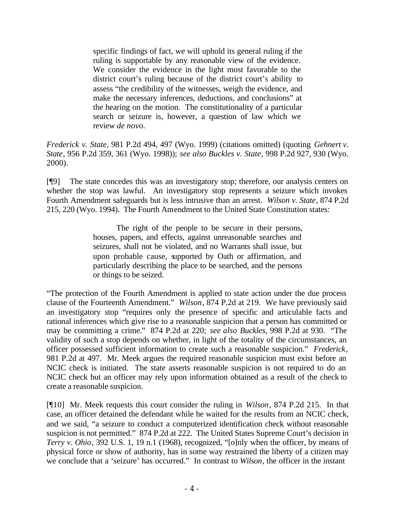specific findings of fact, we will uphold its general ruling if the ruling is supportable by any reasonable view of the evidence. We consider the evidence in the light most favorable to the district court's ruling because of the district court's ability to assess "the credibility of the witnesses, weigh the evidence, and make the necessary inferences, deductions, and conclusions" at the hearing on the motion. The constitutionality of a particular search or seizure is, however, a question of law which we review *de novo.*

*Frederick v. State*, 981 P.2d 494, 497 (Wyo. 1999) (citations omitted) (quoting *Gehnert v. State*, 956 P.2d 359, 361 (Wyo. 1998)); *see also Buckles v. State*, 998 P.2d 927, 930 (Wyo. 2000).

[¶9] The state concedes this was an investigatory stop; therefore, our analysis centers on whether the stop was lawful. An investigatory stop represents a seizure which invokes Fourth Amendment safeguards but is less intrusive than an arrest. *Wilson v. State*, 874 P.2d 215, 220 (Wyo. 1994). The Fourth Amendment to the United State Constitution states:

> The right of the people to be secure in their persons, houses, papers, and effects, against unreasonable searches and seizures, shall not be violated, and no Warrants shall issue, but upon probable cause, supported by Oath or affirmation, and particularly describing the place to be searched, and the persons or things to be seized.

"The protection of the Fourth Amendment is applied to state action under the due process clause of the Fourteenth Amendment." *Wilson*, 874 P.2d at 219. We have previously said an investigatory stop "requires only the presence of specific and articulable facts and rational inferences which give rise to a reasonable suspicion that a person has committed or may be committing a crime." 874 P.2d at 220; *see also Buckles*, 998 P.2d at 930. "The validity of such a stop depends on whether, in light of the totality of the circumstances, an officer possessed sufficient information to create such a reasonable suspicion." *Frederick*, 981 P.2d at 497. Mr. Meek argues the required reasonable suspicion must exist before an NCIC check is initiated. The state asserts reasonable suspicion is not required to do an NCIC check but an officer may rely upon information obtained as a result of the check to create a reasonable suspicion.

[¶10] Mr. Meek requests this court consider the ruling in *Wilson*, 874 P.2d 215. In that case, an officer detained the defendant while he waited for the results from an NCIC check, and we said, "a seizure to conduct a computerized identification check without reasonable suspicion is not permitted." 874 P.2d at 222. The United States Supreme Court's decision in *Terry v. Ohio*, 392 U.S. 1, 19 n.1 (1968), recognized, "[o]nly when the officer, by means of physical force or show of authority, has in some way restrained the liberty of a citizen may we conclude that a 'seizure' has occurred." In contrast to *Wilson*, the officer in the instant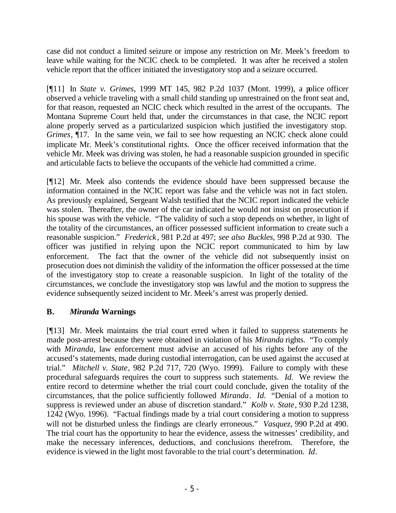case did not conduct a limited seizure or impose any restriction on Mr. Meek's freedom to leave while waiting for the NCIC check to be completed. It was after he received a stolen vehicle report that the officer initiated the investigatory stop and a seizure occurred.

[¶11] In *State v. Grimes*, 1999 MT 145, 982 P.2d 1037 (Mont. 1999), a police officer observed a vehicle traveling with a small child standing up unrestrained on the front seat and, for that reason, requested an NCIC check which resulted in the arrest of the occupants. The Montana Supreme Court held that, under the circumstances in that case, the NCIC report alone properly served as a particularized suspicion which justified the investigatory stop. *Grimes*,  $\P$ 17. In the same vein, we fail to see how requesting an NCIC check alone could implicate Mr. Meek's constitutional rights. Once the officer received information that the vehicle Mr. Meek was driving was stolen, he had a reasonable suspicion grounded in specific and articulable facts to believe the occupants of the vehicle had committed a crime.

[¶12] Mr. Meek also contends the evidence should have been suppressed because the information contained in the NCIC report was false and the vehicle was not in fact stolen. As previously explained, Sergeant Walsh testified that the NCIC report indicated the vehicle was stolen. Thereafter, the owner of the car indicated he would not insist on prosecution if his spouse was with the vehicle. "The validity of such a stop depends on whether, in light of the totality of the circumstances, an officer possessed sufficient information to create such a reasonable suspicion." *Frederick*, 981 P.2d at 497; *see also Buckles,* 998 P.2d at 930. The officer was justified in relying upon the NCIC report communicated to him by law enforcement. The fact that the owner of the vehicle did not subsequently insist on prosecution does not diminish the validity of the information the officer possessed at the time of the investigatory stop to create a reasonable suspicion. In light of the totality of the circumstances, we conclude the investigatory stop was lawful and the motion to suppress the evidence subsequently seized incident to Mr. Meek's arrest was properly denied.

## **B.** *Miranda* **Warnings**

[¶13] Mr. Meek maintains the trial court erred when it failed to suppress statements he made post-arrest because they were obtained in violation of his *Miranda* rights. "To comply with *Miranda*, law enforcement must advise an accused of his rights before any of the accused's statements, made during custodial interrogation, can be used against the accused at trial." *Mitchell v. State*, 982 P.2d 717, 720 (Wyo. 1999). Failure to comply with these procedural safeguards requires the court to suppress such statements. *Id.* We review the entire record to determine whether the trial court could conclude, given the totality of the circumstances, that the police sufficiently followed *Miranda*. *Id.* "Denial of a motion to suppress is reviewed under an abuse of discretion standard." *Kolb v. State*, 930 P.2d 1238, 1242 (Wyo. 1996). "Factual findings made by a trial court considering a motion to suppress will not be disturbed unless the findings are clearly erroneous." *Vasquez*, 990 P.2d at 490. The trial court has the opportunity to hear the evidence, assess the witnesses' credibility, and make the necessary inferences, deductions, and conclusions therefrom. Therefore, the evidence is viewed in the light most favorable to the trial court's determination. *Id*.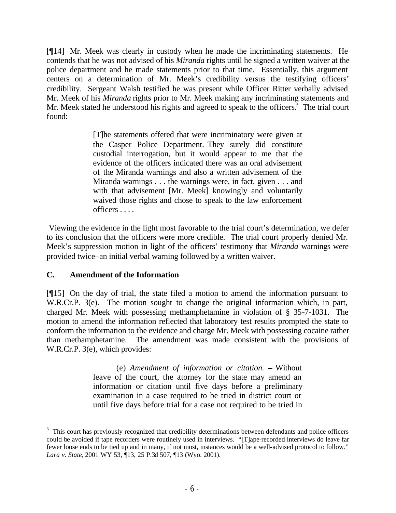[¶14] Mr. Meek was clearly in custody when he made the incriminating statements. He contends that he was not advised of his *Miranda* rights until he signed a written waiver at the police department and he made statements prior to that time. Essentially, this argument centers on a determination of Mr. Meek's credibility versus the testifying officers' credibility. Sergeant Walsh testified he was present while Officer Ritter verbally advised Mr. Meek of his *Miranda* rights prior to Mr. Meek making any incriminating statements and Mr. Meek stated he understood his rights and agreed to speak to the officers.<sup>3</sup> The trial court found:

> [T]he statements offered that were incriminatory were given at the Casper Police Department. They surely did constitute custodial interrogation, but it would appear to me that the evidence of the officers indicated there was an oral advisement of the Miranda warnings and also a written advisement of the Miranda warnings . . . the warnings were, in fact, given . . . and with that advisement [Mr. Meek] knowingly and voluntarily waived those rights and chose to speak to the law enforcement officers . . . .

 Viewing the evidence in the light most favorable to the trial court's determination, we defer to its conclusion that the officers were more credible. The trial court properly denied Mr. Meek's suppression motion in light of the officers' testimony that *Miranda* warnings were provided twice–an initial verbal warning followed by a written waiver.

### **C. Amendment of the Information**

[¶15] On the day of trial, the state filed a motion to amend the information pursuant to W.R.Cr.P. 3(e). The motion sought to change the original information which, in part, charged Mr. Meek with possessing methamphetamine in violation of § 35-7-1031. The motion to amend the information reflected that laboratory test results prompted the state to conform the information to the evidence and charge Mr. Meek with possessing cocaine rather than methamphetamine. The amendment was made consistent with the provisions of W.R.Cr.P. 3(e), which provides:

> (e) *Amendment of information or citation.* – Without leave of the court, the attorney for the state may amend an information or citation until five days before a preliminary examination in a case required to be tried in district court or until five days before trial for a case not required to be tried in

<sup>&</sup>lt;sup>3</sup> This court has previously recognized that credibility determinations between defendants and police officers could be avoided if tape recorders were routinely used in interviews. "[T]ape-recorded interviews do leave far fewer loose ends to be tied up and in many, if not most, instances would be a well-advised protocol to follow." *Lara v. State*, 2001 WY 53, ¶13, 25 P.3d 507, ¶13 (Wyo. 2001).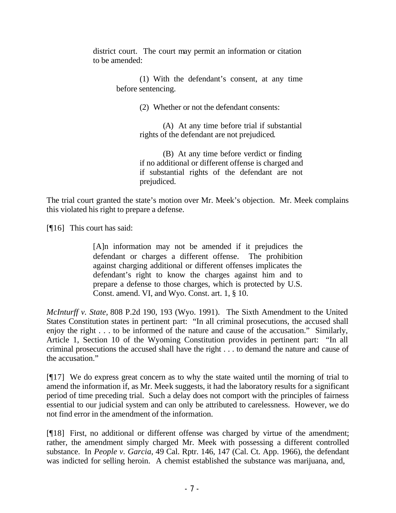district court. The court may permit an information or citation to be amended:

> (1) With the defendant's consent, at any time before sentencing.

> > (2) Whether or not the defendant consents:

(A) At any time before trial if substantial rights of the defendant are not prejudiced.

(B) At any time before verdict or finding if no additional or different offense is charged and if substantial rights of the defendant are not prejudiced.

The trial court granted the state's motion over Mr. Meek's objection. Mr. Meek complains this violated his right to prepare a defense.

[**[16**] This court has said:

[A]n information may not be amended if it prejudices the defendant or charges a different offense. The prohibition against charging additional or different offenses implicates the defendant's right to know the charges against him and to prepare a defense to those charges, which is protected by U.S. Const. amend. VI, and Wyo. Const. art. 1, § 10.

*McInturff v. State,* 808 P.2d 190, 193 (Wyo. 1991). The Sixth Amendment to the United States Constitution states in pertinent part: "In all criminal prosecutions, the accused shall enjoy the right . . . to be informed of the nature and cause of the accusation." Similarly, Article 1, Section 10 of the Wyoming Constitution provides in pertinent part: "In all criminal prosecutions the accused shall have the right . . . to demand the nature and cause of the accusation."

[¶17] We do express great concern as to why the state waited until the morning of trial to amend the information if, as Mr. Meek suggests, it had the laboratory results for a significant period of time preceding trial. Such a delay does not comport with the principles of fairness essential to our judicial system and can only be attributed to carelessness. However, we do not find error in the amendment of the information.

[¶18] First, no additional or different offense was charged by virtue of the amendment; rather, the amendment simply charged Mr. Meek with possessing a different controlled substance. In *People v. Garcia*, 49 Cal. Rptr. 146, 147 (Cal. Ct. App. 1966), the defendant was indicted for selling heroin. A chemist established the substance was marijuana, and,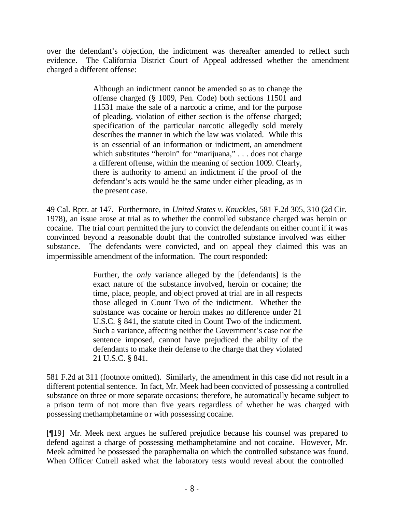over the defendant's objection, the indictment was thereafter amended to reflect such evidence. The California District Court of Appeal addressed whether the amendment charged a different offense:

> Although an indictment cannot be amended so as to change the offense charged (§ 1009, Pen. Code) both sections 11501 and 11531 make the sale of a narcotic a crime, and for the purpose of pleading, violation of either section is the offense charged; specification of the particular narcotic allegedly sold merely describes the manner in which the law was violated. While this is an essential of an information or indictment, an amendment which substitutes "heroin" for "marijuana," . . . does not charge a different offense, within the meaning of section 1009. Clearly, there is authority to amend an indictment if the proof of the defendant's acts would be the same under either pleading, as in the present case.

49 Cal. Rptr. at 147. Furthermore, in *United States v. Knuckles*, 581 F.2d 305, 310 (2d Cir. 1978), an issue arose at trial as to whether the controlled substance charged was heroin or cocaine. The trial court permitted the jury to convict the defendants on either count if it was convinced beyond a reasonable doubt that the controlled substance involved was either substance. The defendants were convicted, and on appeal they claimed this was an impermissible amendment of the information. The court responded:

> Further, the *only* variance alleged by the [defendants] is the exact nature of the substance involved, heroin or cocaine; the time, place, people, and object proved at trial are in all respects those alleged in Count Two of the indictment. Whether the substance was cocaine or heroin makes no difference under 21 U.S.C. § 841, the statute cited in Count Two of the indictment. Such a variance, affecting neither the Government's case nor the sentence imposed, cannot have prejudiced the ability of the defendants to make their defense to the charge that they violated 21 U.S.C. § 841.

581 F.2d at 311 (footnote omitted). Similarly, the amendment in this case did not result in a different potential sentence. In fact, Mr. Meek had been convicted of possessing a controlled substance on three or more separate occasions; therefore, he automatically became subject to a prison term of not more than five years regardless of whether he was charged with possessing methamphetamine or with possessing cocaine.

[¶19] Mr. Meek next argues he suffered prejudice because his counsel was prepared to defend against a charge of possessing methamphetamine and not cocaine. However, Mr. Meek admitted he possessed the paraphernalia on which the controlled substance was found. When Officer Cutrell asked what the laboratory tests would reveal about the controlled